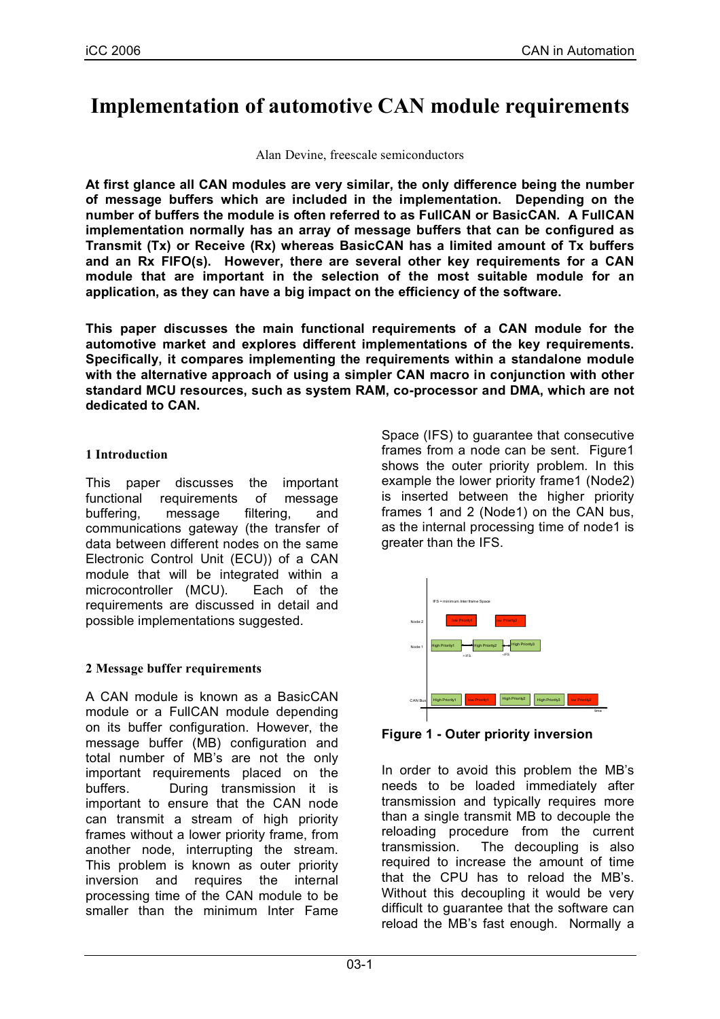# **Implementation of automotive CAN module requirements**

Alan Devine, freescale semiconductors

**At first glance all CAN modules are very similar, the only difference being the number of message buffers which are included in the implementation. Depending on the number of buffers the module is often referred to as FullCAN or BasicCAN. A FullCAN implementation normally has an array of message buffers that can be configured as Transmit (Tx) or Receive (Rx) whereas BasicCAN has a limited amount of Tx buffers and an Rx FIFO(s). However, there are several other key requirements for a CAN module that are important in the selection of the most suitable module for an application, as they can have a big impact on the efficiency of the software.**

**This paper discusses the main functional requirements of a CAN module for the automotive market and explores different implementations of the key requirements. Specifically, it compares implementing the requirements within a standalone module with the alternative approach of using a simpler CAN macro in conjunction with other standard MCU resources, such as system RAM, co-processor and DMA, which are not dedicated to CAN.**

# **1 Introduction**

This paper discusses the important functional requirements of message buffering, message filtering, and communications gateway (the transfer of data between different nodes on the same Electronic Control Unit (ECU)) of a CAN module that will be integrated within a microcontroller (MCU). Each of the requirements are discussed in detail and possible implementations suggested.

# **2 Message buffer requirements**

A CAN module is known as a BasicCAN module or a FullCAN module depending on its buffer configuration. However, the message buffer (MB) configuration and total number of MB's are not the only important requirements placed on the buffers. During transmission it is important to ensure that the CAN node can transmit a stream of high priority frames without a lower priority frame, from another node, interrupting the stream. This problem is known as outer priority inversion and requires the internal processing time of the CAN module to be smaller than the minimum Inter Fame Space (IFS) to guarantee that consecutive frames from a node can be sent. Figure1 shows the outer priority problem. In this example the lower priority frame1 (Node2) is inserted between the higher priority frames 1 and 2 (Node1) on the CAN bus, as the internal processing time of node1 is greater than the IFS.



**Figure 1 - Outer priority inversion**

In order to avoid this problem the MB's needs to be loaded immediately after transmission and typically requires more than a single transmit MB to decouple the reloading procedure from the current transmission. The decoupling is also required to increase the amount of time that the CPU has to reload the MB's. Without this decoupling it would be very difficult to guarantee that the software can reload the MB's fast enough. Normally a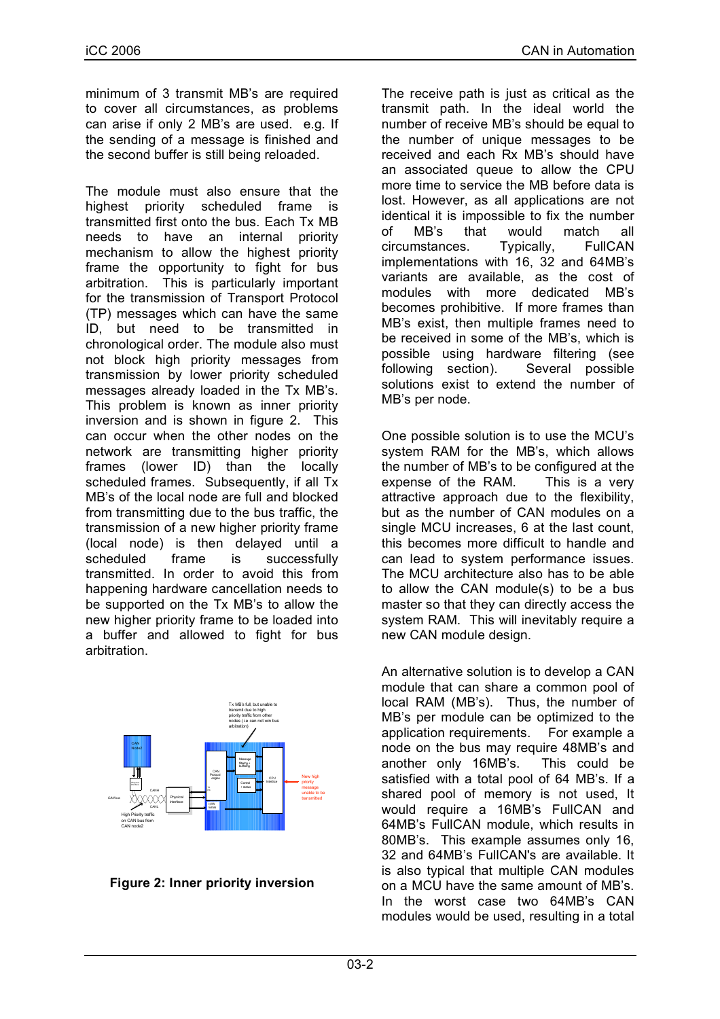minimum of 3 transmit MB's are required to cover all circumstances, as problems can arise if only 2 MB's are used. e.g. If the sending of a message is finished and the second buffer is still being reloaded.

The module must also ensure that the highest priority scheduled frame is transmitted first onto the bus. Each Tx MB needs to have an internal priority mechanism to allow the highest priority frame the opportunity to fight for bus arbitration. This is particularly important for the transmission of Transport Protocol (TP) messages which can have the same ID, but need to be transmitted in chronological order. The module also must not block high priority messages from transmission by lower priority scheduled messages already loaded in the Tx MB's. This problem is known as inner priority inversion and is shown in figure 2. This can occur when the other nodes on the network are transmitting higher priority frames (lower ID) than the locally scheduled frames. Subsequently, if all Tx MB's of the local node are full and blocked from transmitting due to the bus traffic, the transmission of a new higher priority frame (local node) is then delayed until a scheduled frame is successfully transmitted. In order to avoid this from happening hardware cancellation needs to be supported on the Tx MB's to allow the new higher priority frame to be loaded into a buffer and allowed to fight for bus arbitration.



**Figure 2: Inner priority inversion**

The receive path is just as critical as the transmit path. In the ideal world the number of receive MB's should be equal to the number of unique messages to be received and each Rx MB's should have an associated queue to allow the CPU more time to service the MB before data is lost. However, as all applications are not identical it is impossible to fix the number of MB's that would match all circumstances. Typically, FullCAN implementations with 16, 32 and 64MB's variants are available, as the cost of modules with more dedicated MB's becomes prohibitive. If more frames than MB's exist, then multiple frames need to be received in some of the MB's, which is possible using hardware filtering (see following section). Several possible solutions exist to extend the number of MB's per node.

One possible solution is to use the MCU's system RAM for the MB's, which allows the number of MB's to be configured at the expense of the RAM. This is a very attractive approach due to the flexibility, but as the number of CAN modules on a single MCU increases, 6 at the last count, this becomes more difficult to handle and can lead to system performance issues. The MCU architecture also has to be able to allow the CAN module(s) to be a bus master so that they can directly access the system RAM. This will inevitably require a new CAN module design.

An alternative solution is to develop a CAN module that can share a common pool of local RAM (MB's). Thus, the number of MB's per module can be optimized to the application requirements. For example a node on the bus may require 48MB's and another only 16MB's. This could be satisfied with a total pool of 64 MB's. If a shared pool of memory is not used, It would require a 16MB's FullCAN and 64MB's FullCAN module, which results in 80MB's. This example assumes only 16, 32 and 64MB's FullCAN's are available. It is also typical that multiple CAN modules on a MCU have the same amount of MB's. In the worst case two 64MB's CAN modules would be used, resulting in a total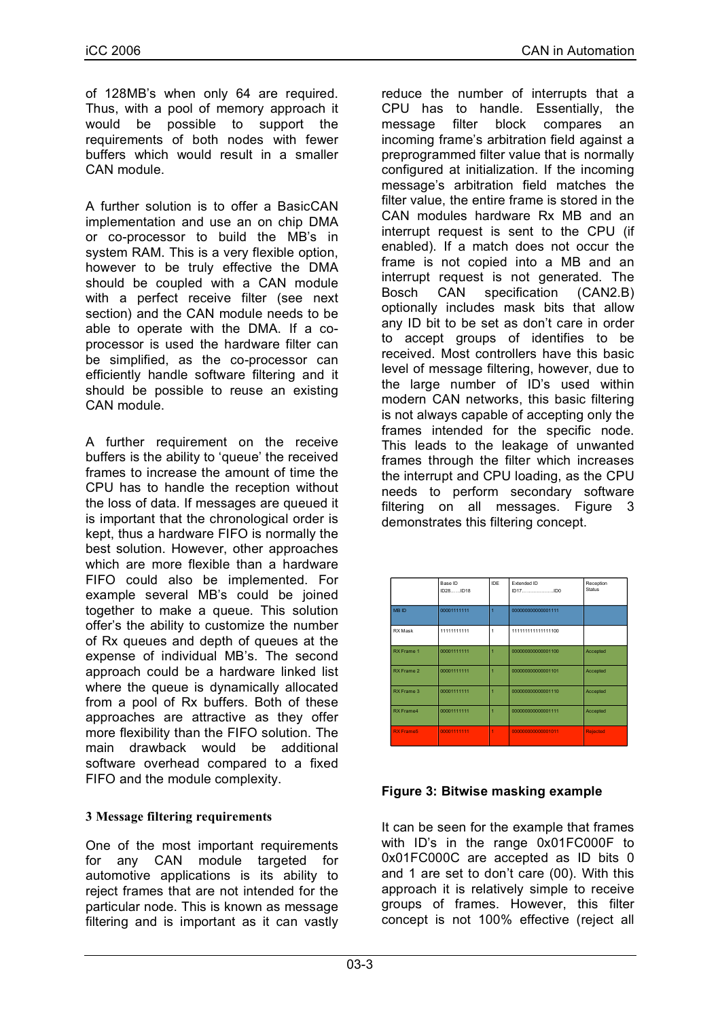of 128MB's when only 64 are required. Thus, with a pool of memory approach it would be possible to support the requirements of both nodes with fewer buffers which would result in a smaller CAN module.

A further solution is to offer a BasicCAN implementation and use an on chip DMA or co-processor to build the MB's in system RAM. This is a very flexible option, however to be truly effective the DMA should be coupled with a CAN module with a perfect receive filter (see next section) and the CAN module needs to be able to operate with the DMA. If a coprocessor is used the hardware filter can be simplified, as the co-processor can efficiently handle software filtering and it should be possible to reuse an existing CAN module.

A further requirement on the receive buffers is the ability to 'queue' the received frames to increase the amount of time the CPU has to handle the reception without the loss of data. If messages are queued it is important that the chronological order is kept, thus a hardware FIFO is normally the best solution. However, other approaches which are more flexible than a hardware FIFO could also be implemented. For example several MB's could be joined together to make a queue. This solution offer's the ability to customize the number of Rx queues and depth of queues at the expense of individual MB's. The second approach could be a hardware linked list where the queue is dynamically allocated from a pool of Rx buffers. Both of these approaches are attractive as they offer more flexibility than the FIFO solution. The main drawback would be additional software overhead compared to a fixed FIFO and the module complexity.

## **3 Message filtering requirements**

One of the most important requirements for any CAN module targeted for automotive applications is its ability to reject frames that are not intended for the particular node. This is known as message filtering and is important as it can vastly

reduce the number of interrupts that a CPU has to handle. Essentially, the message filter block compares an incoming frame's arbitration field against a preprogrammed filter value that is normally configured at initialization. If the incoming message's arbitration field matches the filter value, the entire frame is stored in the CAN modules hardware Rx MB and an interrupt request is sent to the CPU (if enabled). If a match does not occur the frame is not copied into a MB and an interrupt request is not generated. The Bosch CAN specification (CAN2.B) optionally includes mask bits that allow any ID bit to be set as don't care in order to accept groups of identifies to be received. Most controllers have this basic level of message filtering, however, due to the large number of ID's used within modern CAN networks, this basic filtering is not always capable of accepting only the frames intended for the specific node. This leads to the leakage of unwanted frames through the filter which increases the interrupt and CPU loading, as the CPU needs to perform secondary software filtering on all messages. Figure 3 demonstrates this filtering concept.

|                   | Base ID<br>ID28 ID18 | IDE            | <b>Extended ID</b><br>ID17ID0 | Reception<br>Status |
|-------------------|----------------------|----------------|-------------------------------|---------------------|
| <b>MBID</b>       | 00001111111          | 1              | 000000000000001111            |                     |
| RX Mask           | 11111111111          | 1              | 111111111111111100            |                     |
| <b>RX Frame 1</b> | 00001111111          | $\overline{1}$ | 000000000000001100            | Accepted            |
| RX Frame 2        | 00001111111          | 4              | 000000000000001101            | Accepted            |
| RX Frame 3        | 00001111111          | 4              | 000000000000001110            | Accepted            |
| RX Frame4         | 00001111111          | $\overline{1}$ | 000000000000001111            | Accepted            |
| <b>RX Frame5</b>  | 00001111111          | $\overline{1}$ | 000000000000001011            | Rejected            |

## **Figure 3: Bitwise masking example**

It can be seen for the example that frames with ID's in the range 0x01FC000F to 0x01FC000C are accepted as ID bits 0 and 1 are set to don't care (00). With this approach it is relatively simple to receive groups of frames. However, this filter concept is not 100% effective (reject all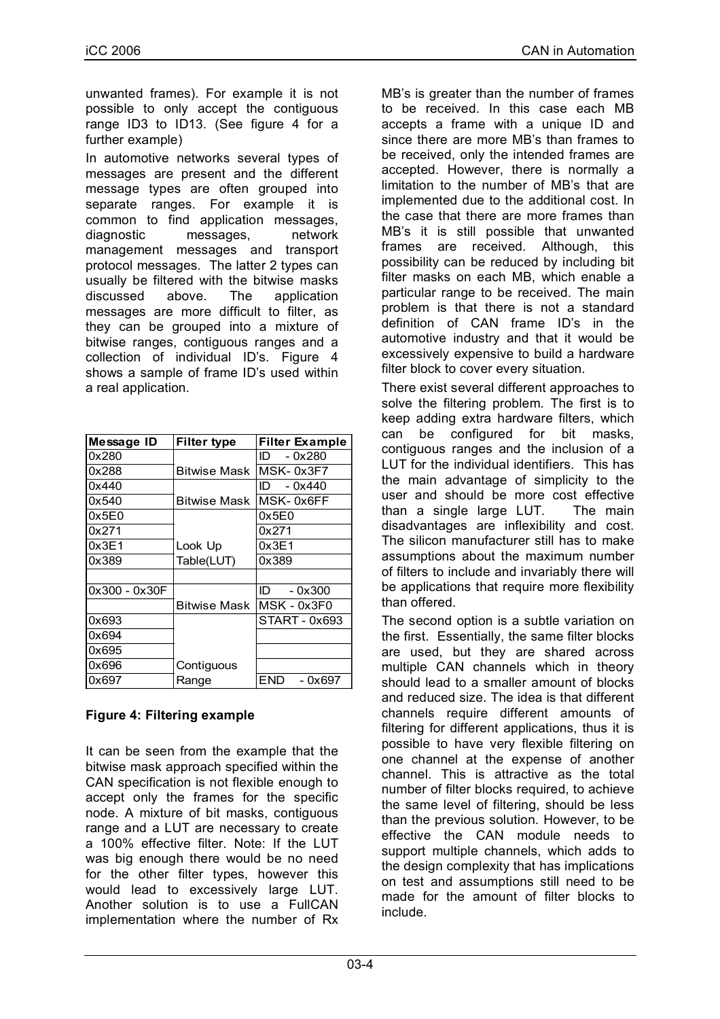unwanted frames). For example it is not possible to only accept the contiguous range ID3 to ID13. (See figure 4 for a further example)

In automotive networks several types of messages are present and the different message types are often grouped into separate ranges. For example it is common to find application messages, diagnostic messages, network management messages and transport protocol messages. The latter 2 types can usually be filtered with the bitwise masks discussed above. The application messages are more difficult to filter, as they can be grouped into a mixture of bitwise ranges, contiguous ranges and a collection of individual ID's. Figure 4 shows a sample of frame ID's used within a real application.

| Message ID    | <b>Filter type</b>  | <b>Filter Example</b> |
|---------------|---------------------|-----------------------|
| 0x280         |                     | - 0x280<br>ID.        |
| 0x288         | <b>Bitwise Mask</b> | MSK-0x3F7             |
| 0x440         |                     | $-0x440$<br>ID.       |
| 0x540         | Bitwise Mask        | MSK-0x6FF             |
| 0x5E0         |                     | 0x5E0                 |
| 0x271         |                     | 0x271                 |
| 0x3E1         | Look Up             | 0x3E1                 |
| Ox389         | Table(LUT)          | 0x389                 |
|               |                     |                       |
| 0x300 - 0x30F |                     | ID<br>$-0x300$        |
|               | Bitwise Mask        | MSK - 0x3F0           |
| 0x693         |                     | START - 0x693         |
| 0x694         |                     |                       |
| 0x695         |                     |                       |
| 0x696         | Contiguous          |                       |
| 0x697         | Range               | END<br>- 0x697        |

# **Figure 4: Filtering example**

It can be seen from the example that the bitwise mask approach specified within the CAN specification is not flexible enough to accept only the frames for the specific node. A mixture of bit masks, contiguous range and a LUT are necessary to create a 100% effective filter. Note: If the LUT was big enough there would be no need for the other filter types, however this would lead to excessively large LUT. Another solution is to use a FullCAN implementation where the number of Rx

MB's is greater than the number of frames to be received. In this case each MB accepts a frame with a unique ID and since there are more MB's than frames to be received, only the intended frames are accepted. However, there is normally a limitation to the number of MB's that are implemented due to the additional cost. In the case that there are more frames than MB's it is still possible that unwanted frames are received. Although, this possibility can be reduced by including bit filter masks on each MB, which enable a particular range to be received. The main problem is that there is not a standard definition of CAN frame ID's in the automotive industry and that it would be excessively expensive to build a hardware filter block to cover every situation.

There exist several different approaches to solve the filtering problem. The first is to keep adding extra hardware filters, which can be configured for bit masks, contiguous ranges and the inclusion of a LUT for the individual identifiers. This has the main advantage of simplicity to the user and should be more cost effective than a single large LUT. The main disadvantages are inflexibility and cost. The silicon manufacturer still has to make assumptions about the maximum number of filters to include and invariably there will be applications that require more flexibility than offered.

The second option is a subtle variation on the first. Essentially, the same filter blocks are used, but they are shared across multiple CAN channels which in theory should lead to a smaller amount of blocks and reduced size. The idea is that different channels require different amounts of filtering for different applications, thus it is possible to have very flexible filtering on one channel at the expense of another channel. This is attractive as the total number of filter blocks required, to achieve the same level of filtering, should be less than the previous solution. However, to be effective the CAN module needs to support multiple channels, which adds to the design complexity that has implications on test and assumptions still need to be made for the amount of filter blocks to include.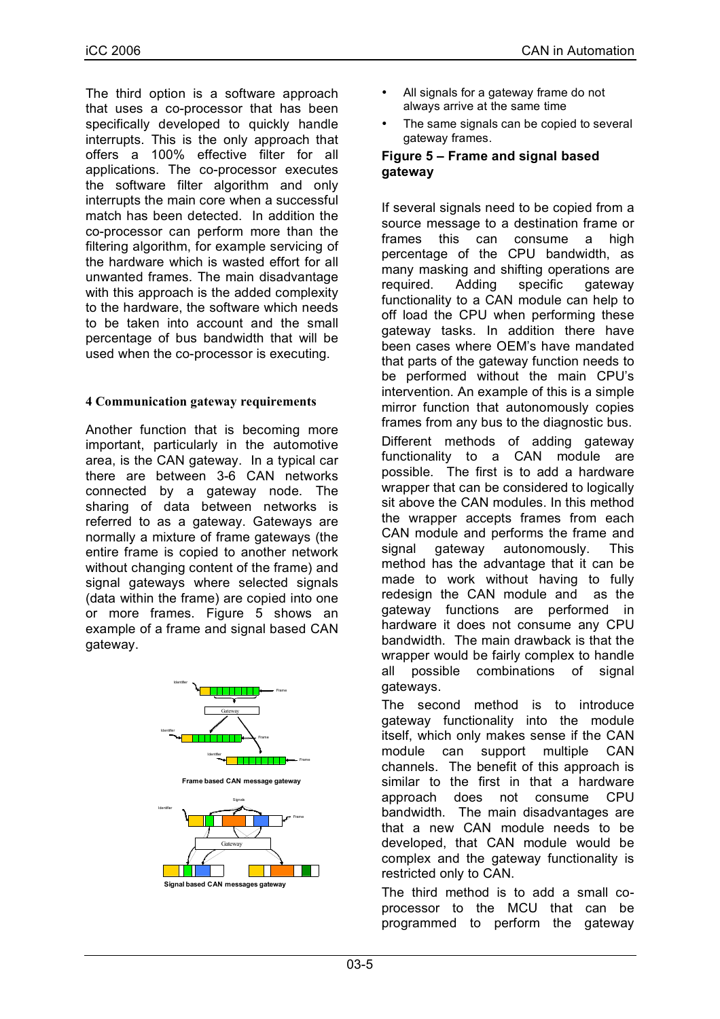The third option is a software approach that uses a co-processor that has been specifically developed to quickly handle interrupts. This is the only approach that offers a 100% effective filter for all applications. The co-processor executes the software filter algorithm and only interrupts the main core when a successful match has been detected. In addition the co-processor can perform more than the filtering algorithm, for example servicing of the hardware which is wasted effort for all unwanted frames. The main disadvantage with this approach is the added complexity to the hardware, the software which needs to be taken into account and the small percentage of bus bandwidth that will be used when the co-processor is executing.

#### **4 Communication gateway requirements**

Another function that is becoming more important, particularly in the automotive area, is the CAN gateway. In a typical car there are between 3-6 CAN networks connected by a gateway node. The sharing of data between networks is referred to as a gateway. Gateways are normally a mixture of frame gateways (the entire frame is copied to another network without changing content of the frame) and signal gateways where selected signals (data within the frame) are copied into one or more frames. Figure 5 shows an example of a frame and signal based CAN gateway.





- All signals for a gateway frame do not always arrive at the same time
- The same signals can be copied to several gateway frames.

#### **Figure 5 – Frame and signal based gateway**

If several signals need to be copied from a source message to a destination frame or frames this can consume a high percentage of the CPU bandwidth, as many masking and shifting operations are required. Adding specific gateway functionality to a CAN module can help to off load the CPU when performing these gateway tasks. In addition there have been cases where OEM's have mandated that parts of the gateway function needs to be performed without the main CPU's intervention. An example of this is a simple mirror function that autonomously copies frames from any bus to the diagnostic bus. Different methods of adding gateway functionality to a CAN module are possible. The first is to add a hardware wrapper that can be considered to logically sit above the CAN modules. In this method the wrapper accepts frames from each CAN module and performs the frame and signal gateway autonomously. This method has the advantage that it can be made to work without having to fully redesign the CAN module and as the gateway functions are performed in hardware it does not consume any CPU bandwidth. The main drawback is that the wrapper would be fairly complex to handle all possible combinations of signal gateways.

The second method is to introduce gateway functionality into the module itself, which only makes sense if the CAN module can support multiple CAN channels. The benefit of this approach is similar to the first in that a hardware approach does not consume CPU bandwidth. The main disadvantages are that a new CAN module needs to be developed, that CAN module would be complex and the gateway functionality is restricted only to CAN.

The third method is to add a small coprocessor to the MCU that can be programmed to perform the gateway